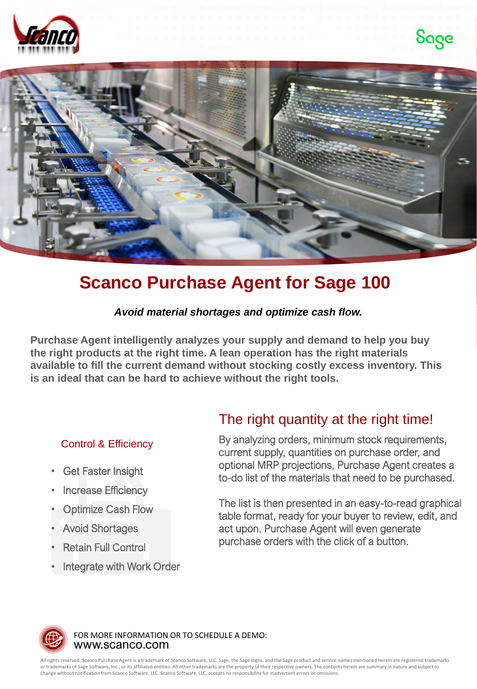





# **Scanco Purchase Agent for Sage 100**

### *Avoid material shortages and optimize cash flow.*

**Purchase Agent intelligently analyzes your supply and demand to help you buy the right products at the right time. A lean operation has the right materials available to fill the current demand without stocking costly excess inventory. This is an ideal that can be hard to achieve without the right tools.** 

### Control & Efficiency

- **Get Faster Insight**
- **Increase Efficiency**
- **Optimize Cash Flow**
- Avoid Shortages
- Retain Full Control
- Integrate with Work Order

# The right quantity at the right time!

By analyzing orders, minimum stock requirements, current supply, quantities on purchase order, and optional MRP projections, Purchase Agent creates a to-do list of the materials that need to be purchased.

The list is then presented in an easy-to-read graphical table format, ready for your buyer to review, edit, and act upon. Purchase Agent will even generate purchase orders with the click of a button.



www.scanco.com FOR MORE INFORMATION OR TO SCHEDULE A DEMO:

All rights reserved. Scanco Purchase Agent is a trademark of Scanco Software, LLC. Sage, the Sage logos, and the Sage product and service names mentioned herein are registered trademarks or trademarks of Sage Software, Inc., or its affiliated entities. All other trademarks are the property of their respective owners. The contents herein are summary in nature and subject to change without notification from Scanco Software, LLC. Scanco Software, LLC, accepts no responsibility for inadvertent errors or omissions.